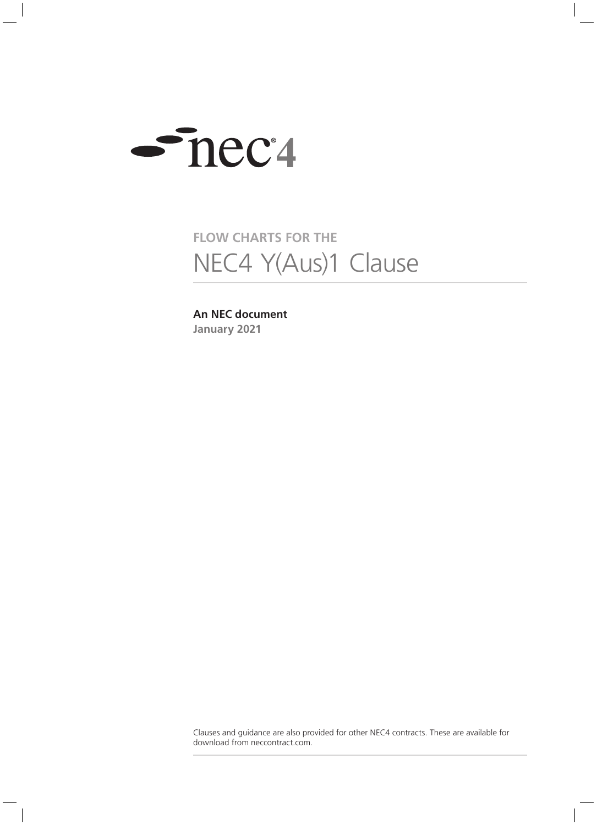

### **FLOW CHARTS FOR THE** NEC4 Y(Aus)1 Clause

#### **An NEC document January 2021**

Clauses and guidance are also provided for other NEC4 contracts. These are available for download from neccontract.com.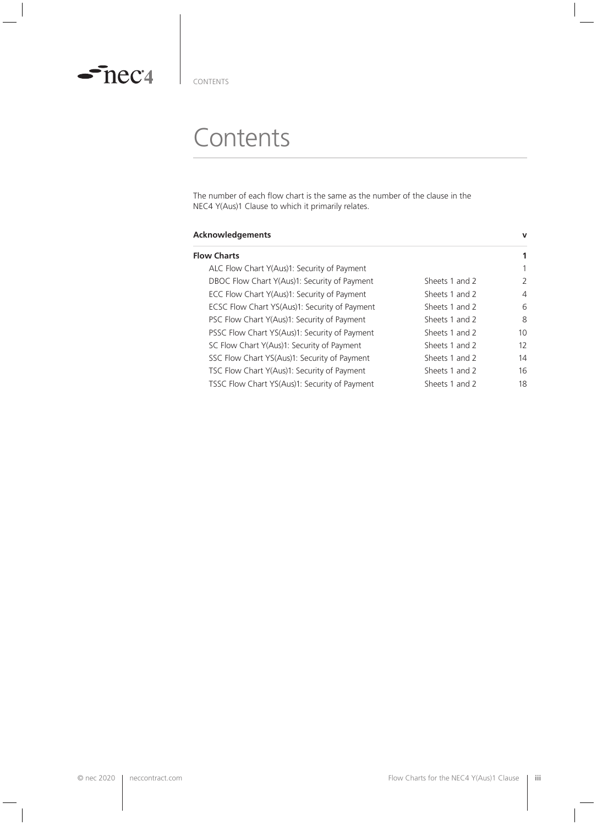

 $\sim$ nec $4$ 

## **Contents**

The number of each flow chart is the same as the number of the clause in the NEC4 Y(Aus)1 Clause to which it primarily relates.

| <b>Acknowledgements</b>                       |                | v              |
|-----------------------------------------------|----------------|----------------|
| <b>Flow Charts</b>                            |                | 1              |
| ALC Flow Chart Y(Aus)1: Security of Payment   |                | 1              |
| DBOC Flow Chart Y(Aus)1: Security of Payment  | Sheets 1 and 2 | $\overline{2}$ |
| ECC Flow Chart Y(Aus)1: Security of Payment   | Sheets 1 and 2 | $\overline{4}$ |
| ECSC Flow Chart YS(Aus)1: Security of Payment | Sheets 1 and 2 | 6              |
| PSC Flow Chart Y(Aus)1: Security of Payment   | Sheets 1 and 2 | 8              |
| PSSC Flow Chart YS(Aus)1: Security of Payment | Sheets 1 and 2 | 10             |
| SC Flow Chart Y(Aus)1: Security of Payment    | Sheets 1 and 2 | 12             |
| SSC Flow Chart YS(Aus)1: Security of Payment  | Sheets 1 and 2 | 14             |
| TSC Flow Chart Y(Aus)1: Security of Payment   | Sheets 1 and 2 | 16             |
| TSSC Flow Chart YS(Aus)1: Security of Payment | Sheets 1 and 2 | 18             |
|                                               |                |                |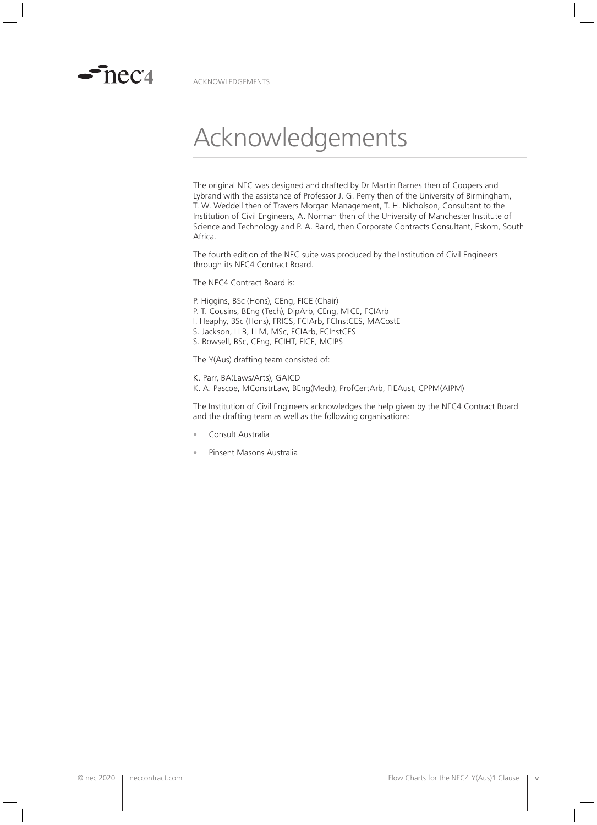

 $\sim$  nec $\alpha$ 

# Acknowledgements

The original NEC was designed and drafted by Dr Martin Barnes then of Coopers and Lybrand with the assistance of Professor J. G. Perry then of the University of Birmingham, T. W. Weddell then of Travers Morgan Management, T. H. Nicholson, Consultant to the Institution of Civil Engineers, A. Norman then of the University of Manchester Institute of Science and Technology and P. A. Baird, then Corporate Contracts Consultant, Eskom, South Africa.

The fourth edition of the NEC suite was produced by the Institution of Civil Engineers through its NEC4 Contract Board.

The NEC4 Contract Board is:

- P. Higgins, BSc (Hons), CEng, FICE (Chair)
- P. T. Cousins, BEng (Tech), DipArb, CEng, MICE, FCIArb
- I. Heaphy, BSc (Hons), FRICS, FCIArb, FCInstCES, MACostE
- S. Jackson, LLB, LLM, MSc, FCIArb, FCInstCES
- S. Rowsell, BSc, CEng, FCIHT, FICE, MCIPS

The Y(Aus) drafting team consisted of:

K. Parr, BA(Laws/Arts), GAICD K. A. Pascoe, MConstrLaw, BEng(Mech), ProfCertArb, FIEAust, CPPM(AIPM)

The Institution of Civil Engineers acknowledges the help given by the NEC4 Contract Board and the drafting team as well as the following organisations:

- Consult Australia
- Pinsent Masons Australia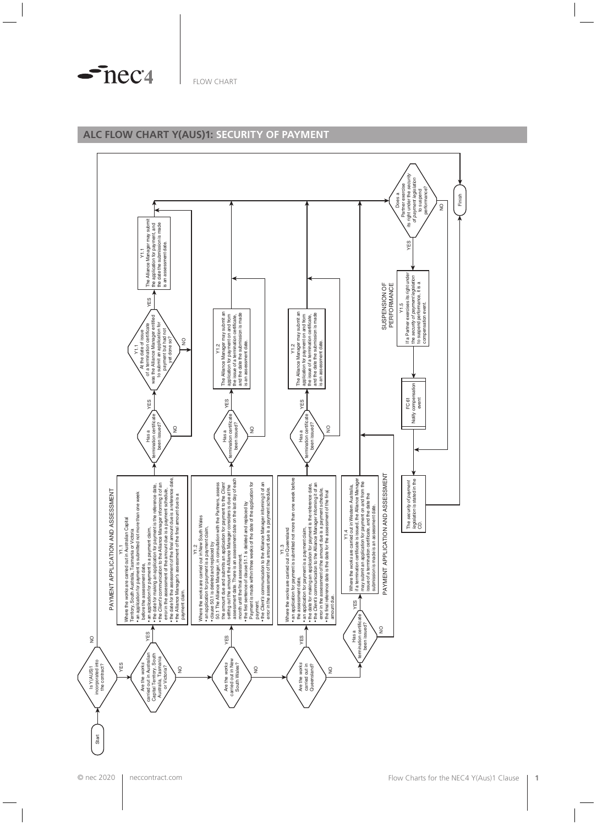$\sim$ nec<sup>4</sup>

#### **ALC FLOW CHART Y(AUS)1: SECURITY OF PAYMENT**

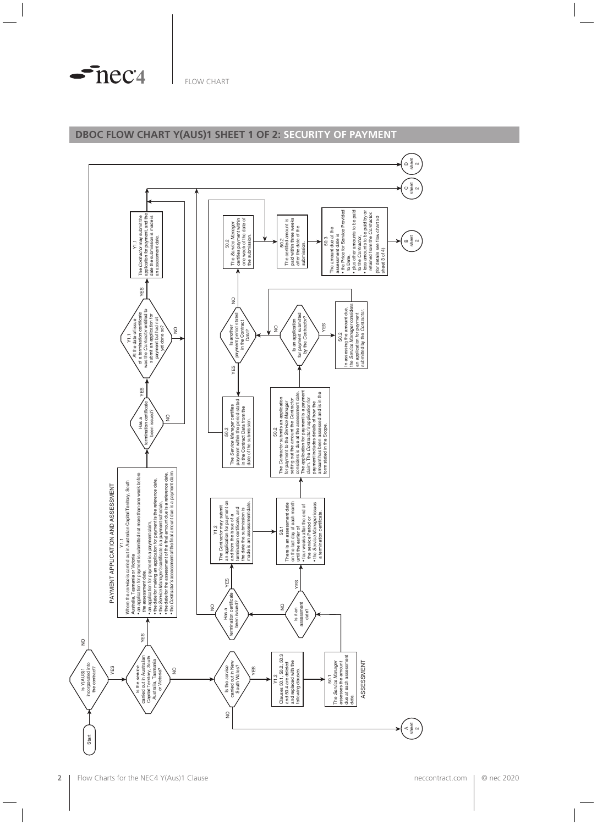$\sim$ nec<sup>4</sup>

#### **DBOC FLOW CHART Y(AUS)1 SHEET 1 OF 2: SECURITY OF PAYMENT**

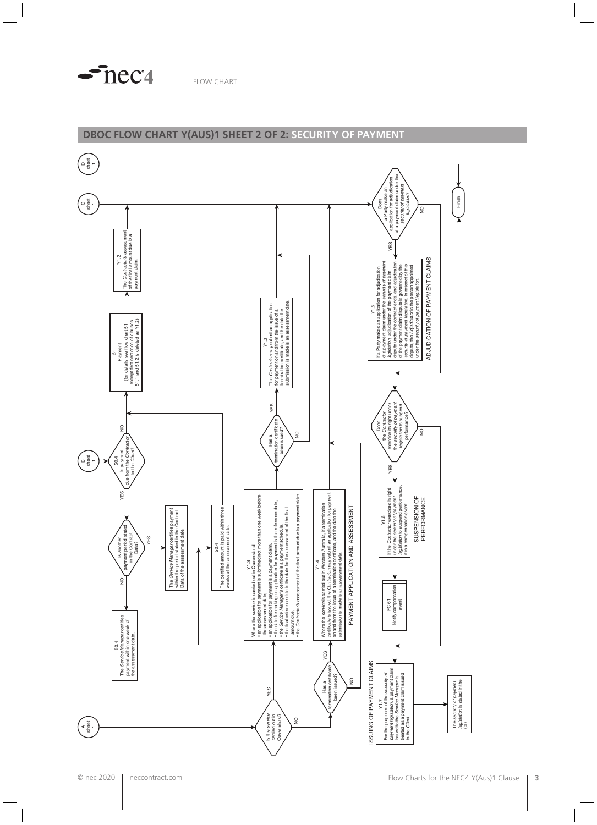

#### **DBOC FLOW CHART Y(AUS)1 SHEET 2 OF 2: SECURITY OF PAYMENT**

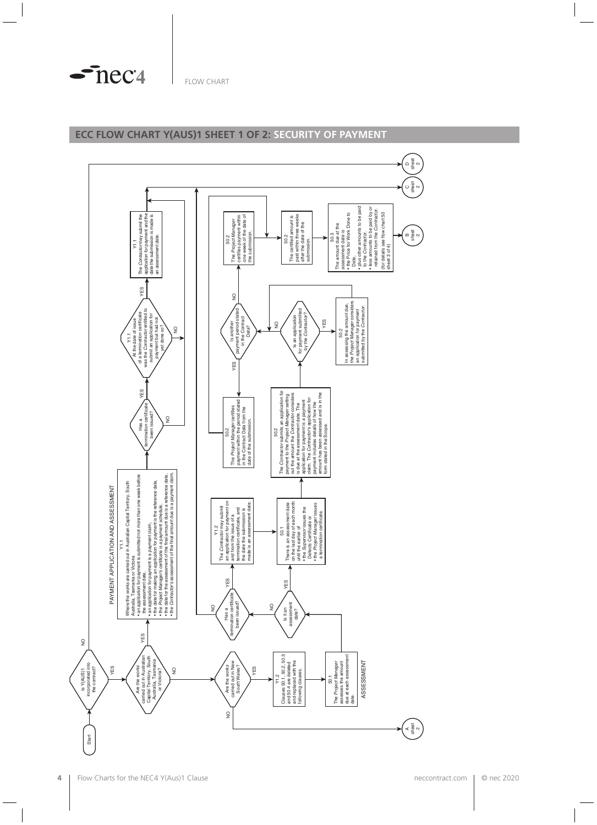$\sim$ nec<sup>4</sup>

#### **ECC FLOW CHART Y(AUS)1 SHEET 1 OF 2: SECURITY OF PAYMENT**

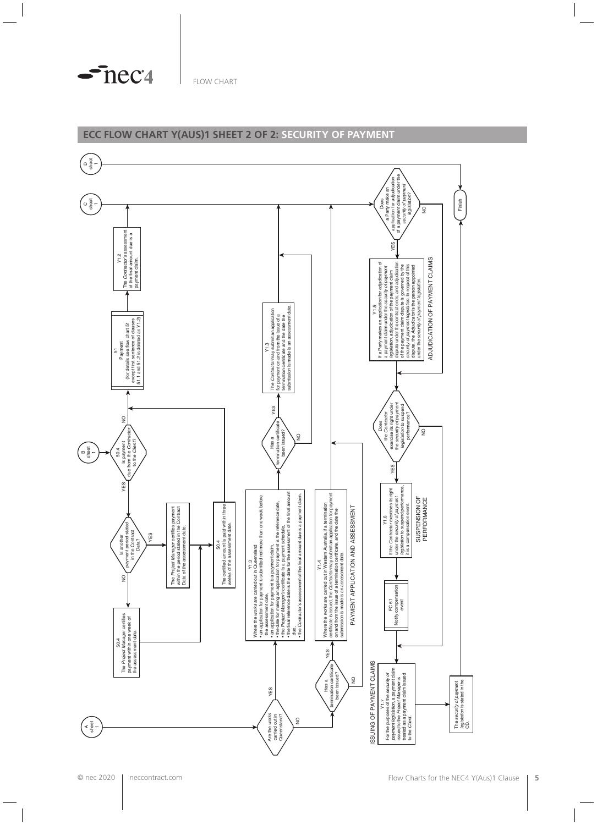

#### **ECC FLOW CHART Y(AUS)1 SHEET 2 OF 2: SECURITY OF PAYMENT**

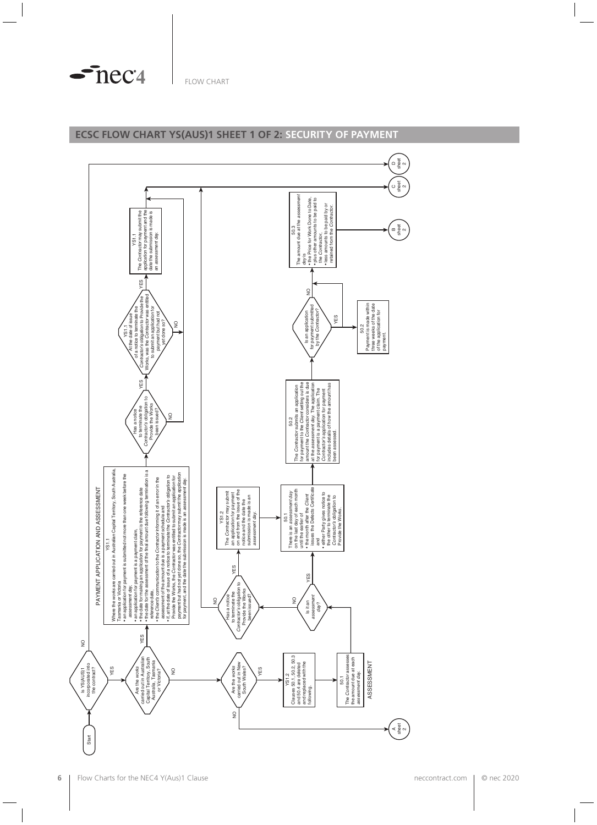$\sim$ nec<sup>4</sup>

#### **ECSC FLOW CHART YS(AUS)1 SHEET 1 OF 2: SECURITY OF PAYMENT**

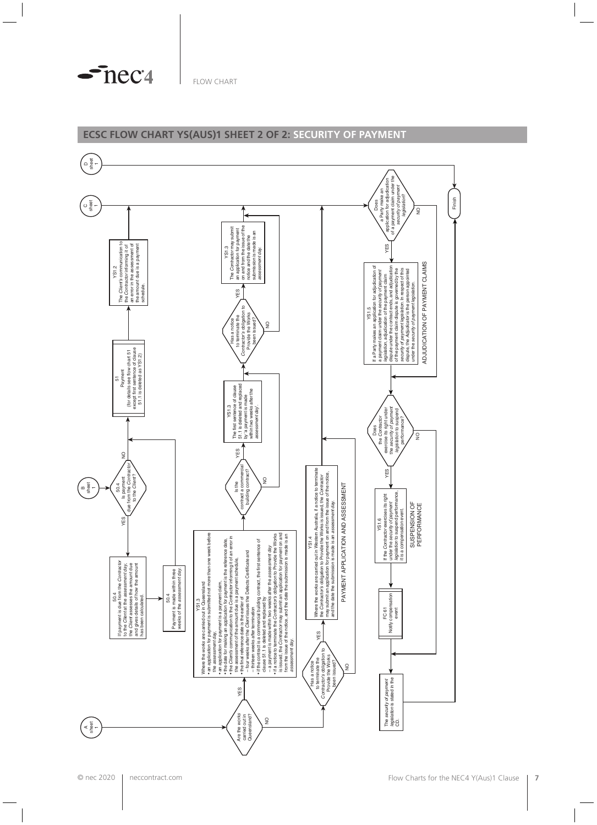



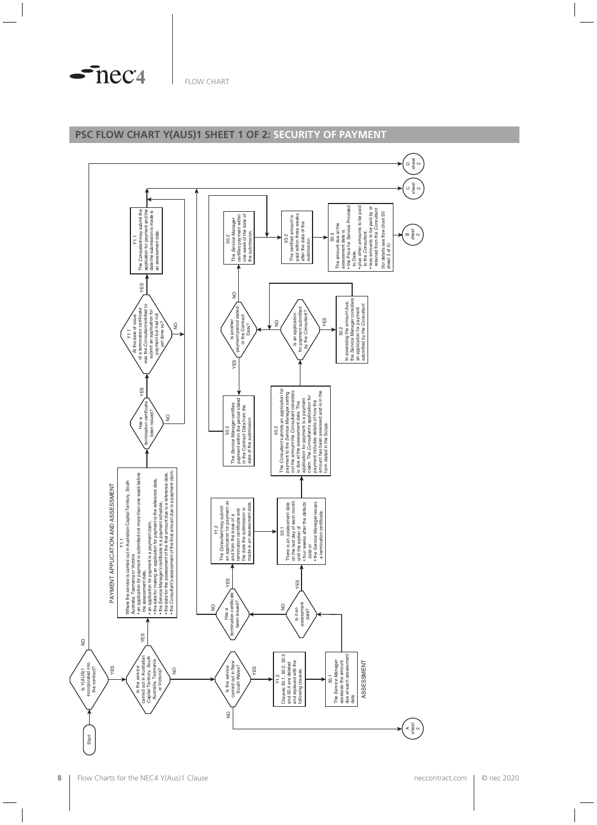$\sim$ nec<sup>4</sup>

#### **PSC FLOW CHART Y(AUS)1 SHEET 1 OF 2: SECURITY OF PAYMENT**

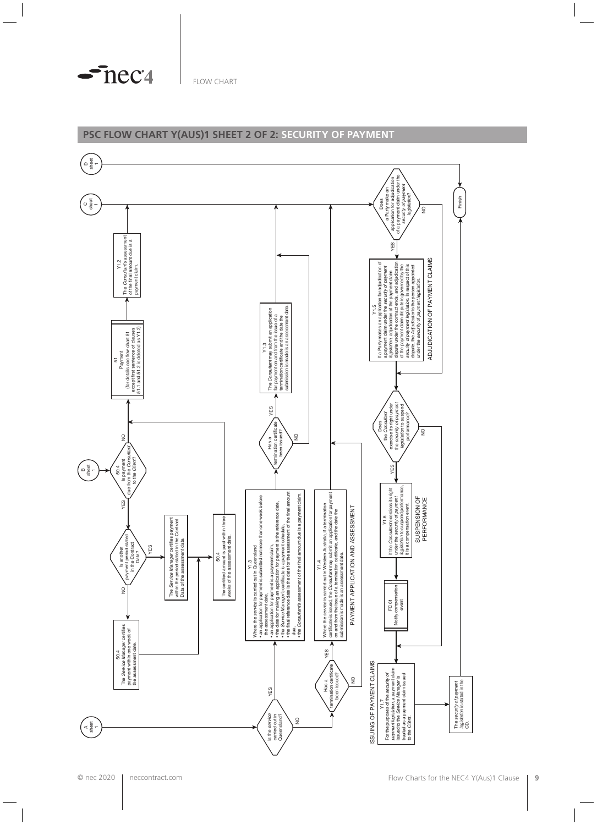

#### **PSC FLOW CHART Y(AUS)1 SHEET 2 OF 2: SECURITY OF PAYMENT**

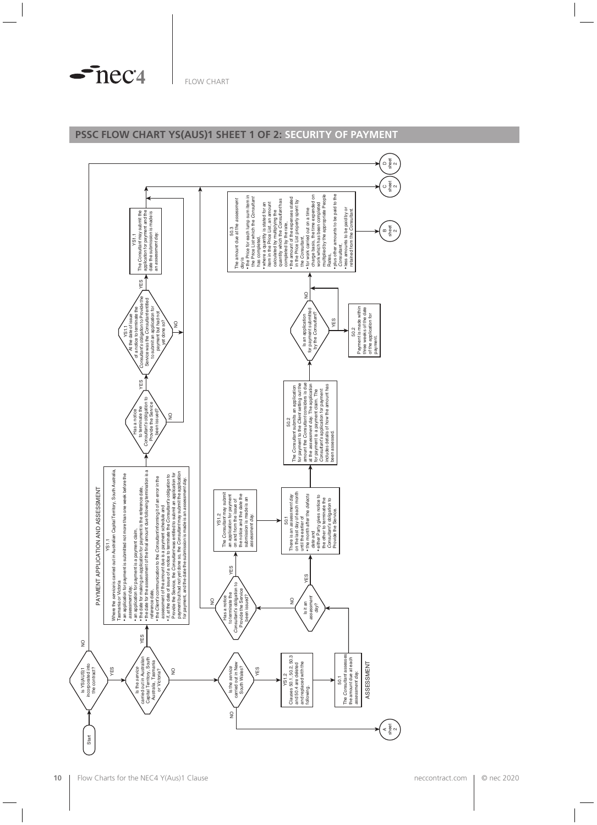$\sim$ nec<sup>4</sup>

#### **PSSC FLOW CHART YS(AUS)1 SHEET 1 OF 2: SECURITY OF PAYMENT**

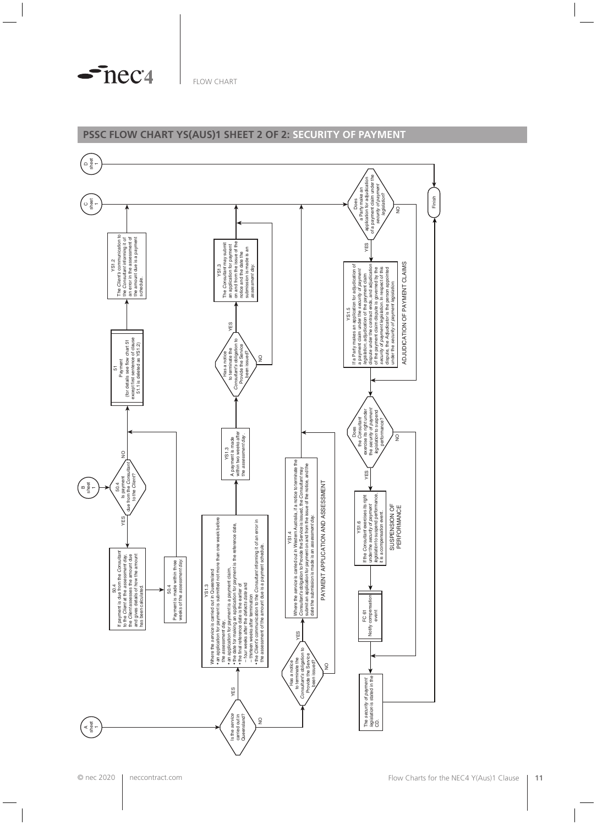

#### **PSSC FLOW CHART YS(AUS)1 SHEET 2 OF 2: SECURITY OF PAYMENT**

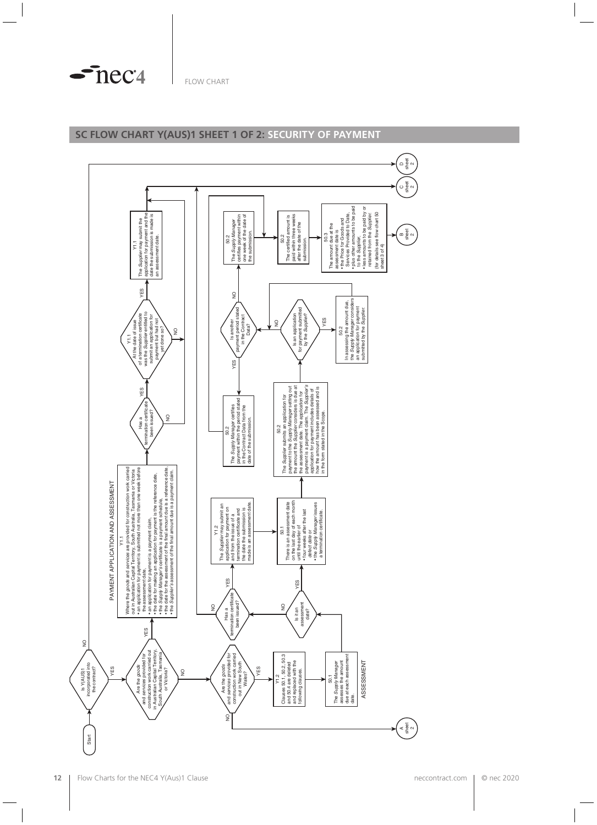$\sim$ nec<sup>4</sup>

#### **SC FLOW CHART Y(AUS)1 SHEET 1 OF 2: SECURITY OF PAYMENT**

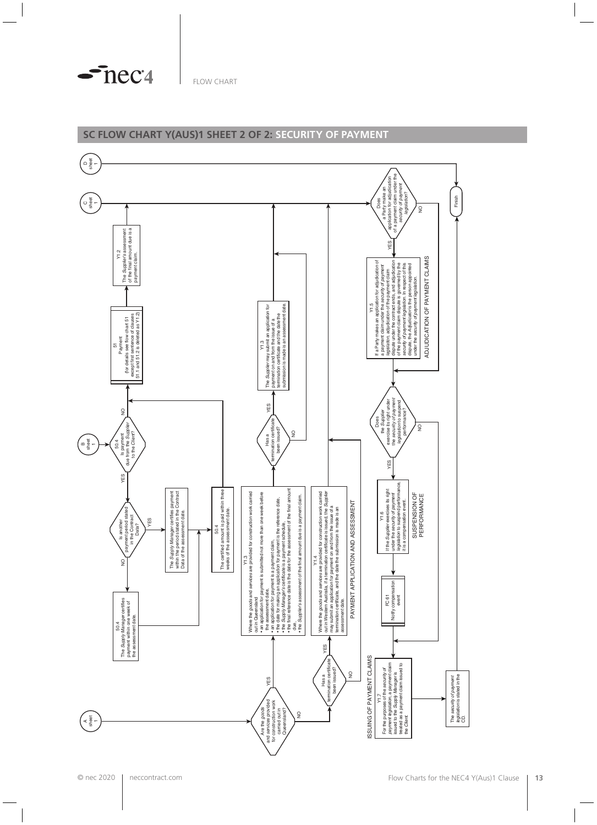

#### **SC FLOW CHART Y(AUS)1 SHEET 2 OF 2: SECURITY OF PAYMENT**

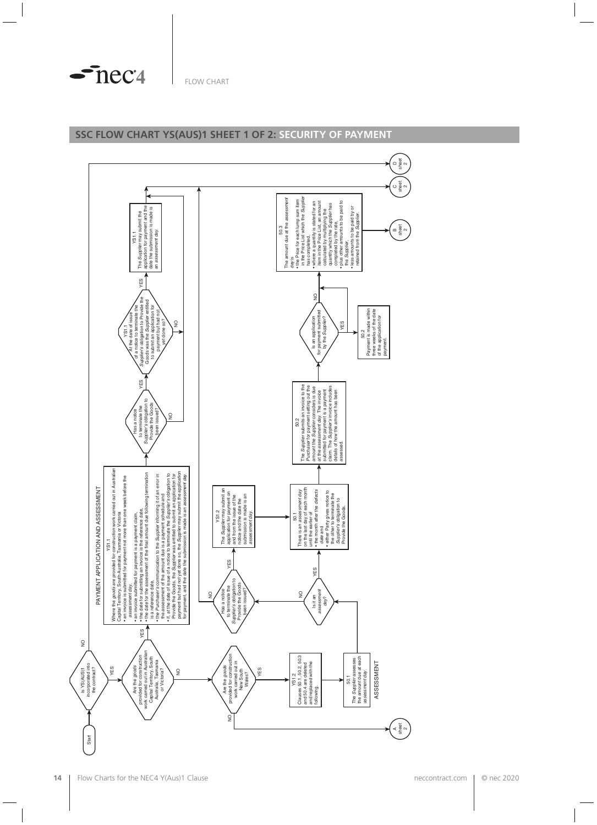$\sim$ nec<sup>4</sup>

#### **SSC FLOW CHART YS(AUS)1 SHEET 1 OF 2: SECURITY OF PAYMENT**

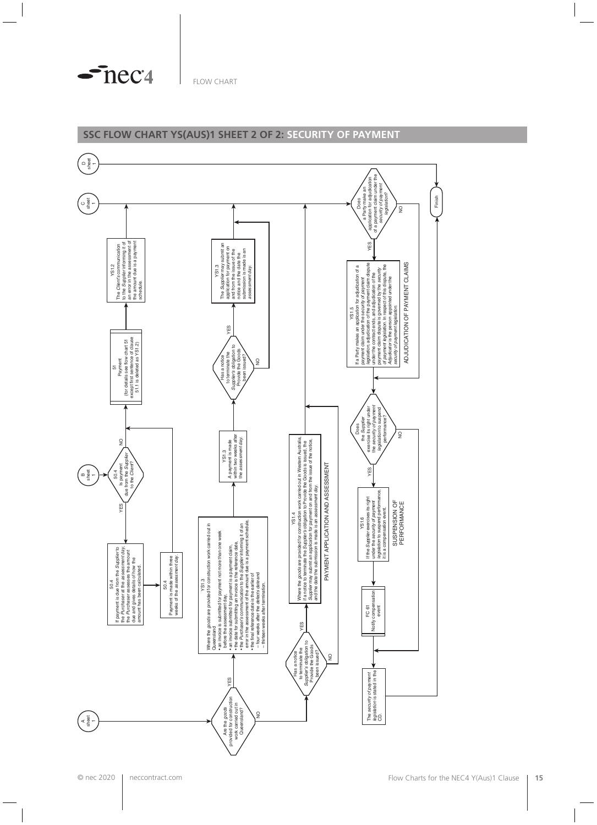



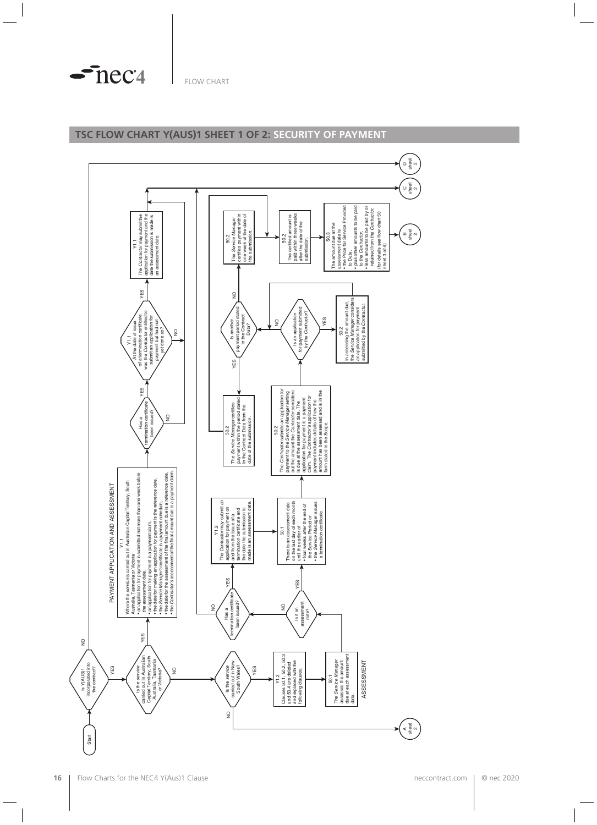$\sim$ nec<sup>4</sup>

#### **TSC FLOW CHART Y(AUS)1 SHEET 1 OF 2: SECURITY OF PAYMENT**

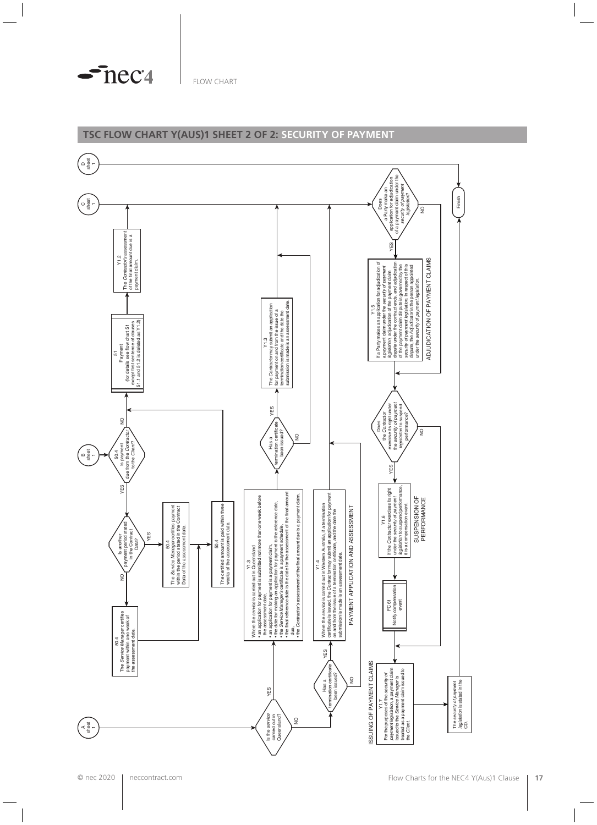

#### **TSC FLOW CHART Y(AUS)1 SHEET 2 OF 2: SECURITY OF PAYMENT**

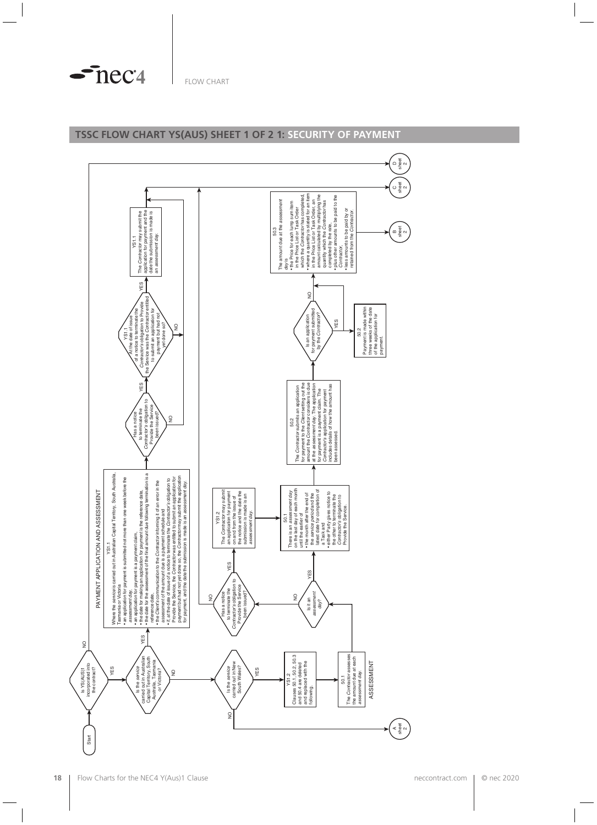$\sim$ nec<sup>4</sup>

#### **TSSC FLOW CHART YS(AUS) SHEET 1 OF 2 1: SECURITY OF PAYMENT**